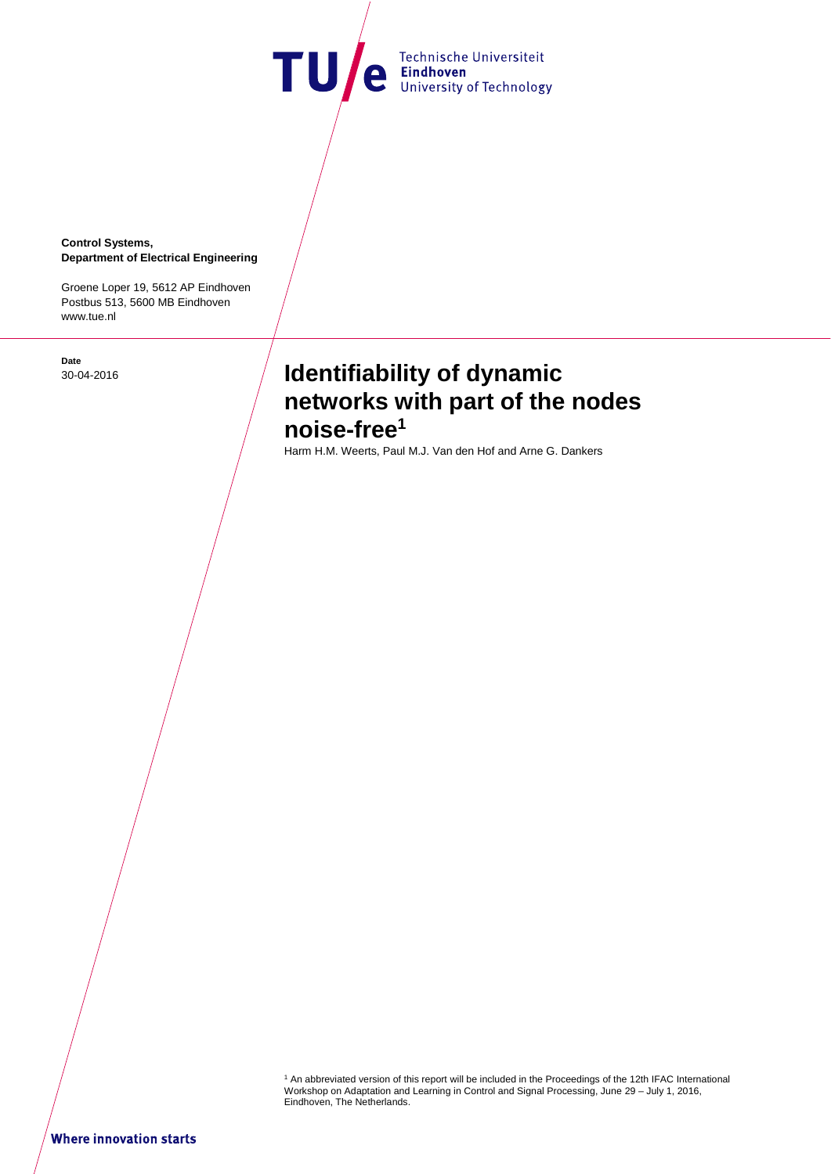TU/e Technische Universiteit

**Control Systems, Department of Electrical Engineering** 

Groene Loper 19, 5612 AP Eindhoven Postbus 513, 5600 MB Eindhoven www.tue.nl

**Date** 

# **Identifiability of dynamic**  $\int$  **Identifiability of dynamic networks with part of the nodes noise-free<sup>1</sup>**

Harm H.M. Weerts, Paul M.J. Van den Hof and Arne G. Dankers

1 An abbreviated version of this report will be included in the Proceedings of the 12th IFAC International Workshop on Adaptation and Learning in Control and Signal Processing, June 29 – July 1, 2016, Eindhoven, The Netherlands.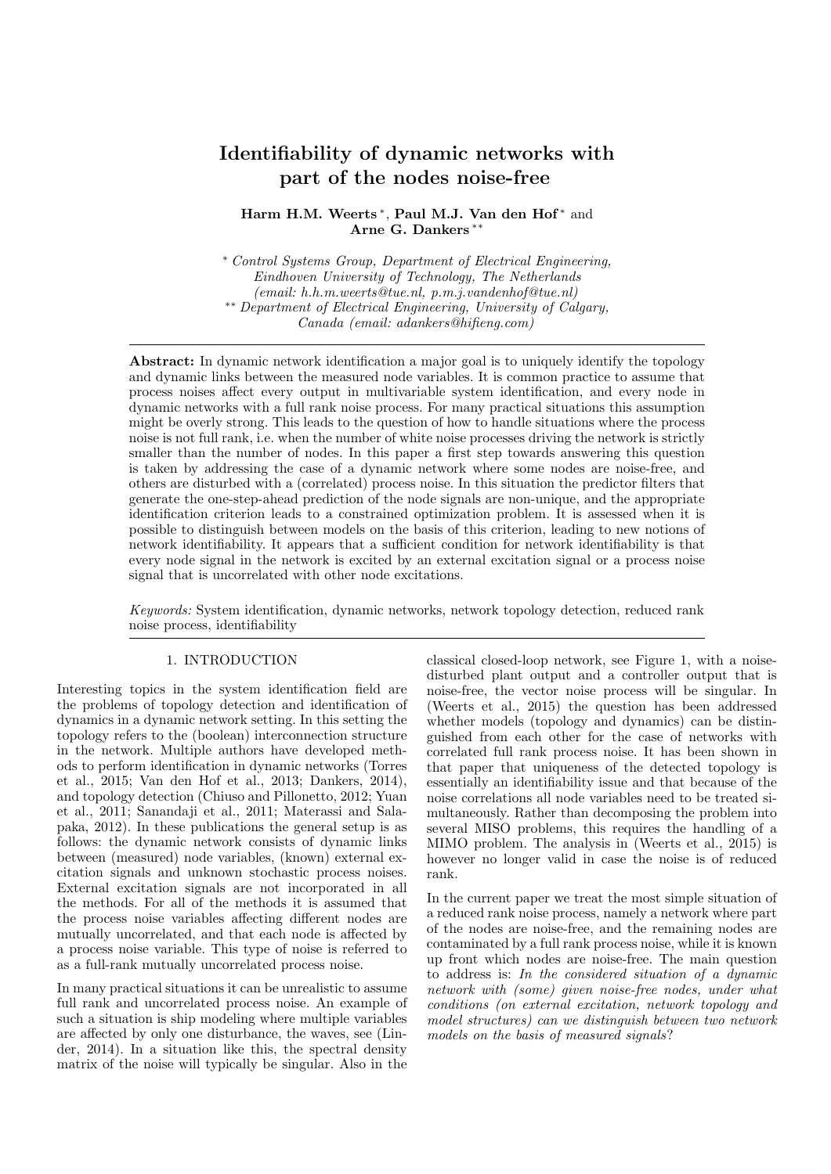# Identifiability of dynamic networks with part of the nodes noise-free

# Harm H.M. Weerts<sup>\*</sup>, Paul M.J. Van den Hof<sup>\*</sup> and Arne G. Dankers ∗∗

<sup>∗</sup> Control Systems Group, Department of Electrical Engineering, Eindhoven University of Technology, The Netherlands (email: h.h.m.weerts@tue.nl, p.m.j.vandenhof@tue.nl) ∗∗ Department of Electrical Engineering, University of Calgary, Canada (email: adankers@hifieng.com)

Abstract: In dynamic network identification a major goal is to uniquely identify the topology and dynamic links between the measured node variables. It is common practice to assume that process noises affect every output in multivariable system identification, and every node in dynamic networks with a full rank noise process. For many practical situations this assumption might be overly strong. This leads to the question of how to handle situations where the process noise is not full rank, i.e. when the number of white noise processes driving the network is strictly smaller than the number of nodes. In this paper a first step towards answering this question is taken by addressing the case of a dynamic network where some nodes are noise-free, and others are disturbed with a (correlated) process noise. In this situation the predictor filters that generate the one-step-ahead prediction of the node signals are non-unique, and the appropriate identification criterion leads to a constrained optimization problem. It is assessed when it is possible to distinguish between models on the basis of this criterion, leading to new notions of network identifiability. It appears that a sufficient condition for network identifiability is that every node signal in the network is excited by an external excitation signal or a process noise signal that is uncorrelated with other node excitations.

Keywords: System identification, dynamic networks, network topology detection, reduced rank noise process, identifiability

#### 1. INTRODUCTION

Interesting topics in the system identification field are the problems of topology detection and identification of dynamics in a dynamic network setting. In this setting the topology refers to the (boolean) interconnection structure in the network. Multiple authors have developed methods to perform identification in dynamic networks (Torres et al., 2015; Van den Hof et al., 2013; Dankers, 2014), and topology detection (Chiuso and Pillonetto, 2012; Yuan et al., 2011; Sanandaji et al., 2011; Materassi and Salapaka, 2012). In these publications the general setup is as follows: the dynamic network consists of dynamic links between (measured) node variables, (known) external excitation signals and unknown stochastic process noises. External excitation signals are not incorporated in all the methods. For all of the methods it is assumed that the process noise variables affecting different nodes are mutually uncorrelated, and that each node is affected by a process noise variable. This type of noise is referred to as a full-rank mutually uncorrelated process noise.

In many practical situations it can be unrealistic to assume full rank and uncorrelated process noise. An example of such a situation is ship modeling where multiple variables are affected by only one disturbance, the waves, see (Linder, 2014). In a situation like this, the spectral density matrix of the noise will typically be singular. Also in the

classical closed-loop network, see Figure 1, with a noisedisturbed plant output and a controller output that is noise-free, the vector noise process will be singular. In (Weerts et al., 2015) the question has been addressed whether models (topology and dynamics) can be distinguished from each other for the case of networks with correlated full rank process noise. It has been shown in that paper that uniqueness of the detected topology is essentially an identifiability issue and that because of the noise correlations all node variables need to be treated simultaneously. Rather than decomposing the problem into several MISO problems, this requires the handling of a MIMO problem. The analysis in (Weerts et al., 2015) is however no longer valid in case the noise is of reduced rank.

In the current paper we treat the most simple situation of a reduced rank noise process, namely a network where part of the nodes are noise-free, and the remaining nodes are contaminated by a full rank process noise, while it is known up front which nodes are noise-free. The main question to address is: In the considered situation of a dynamic network with (some) given noise-free nodes, under what conditions (on external excitation, network topology and model structures) can we distinguish between two network models on the basis of measured signals?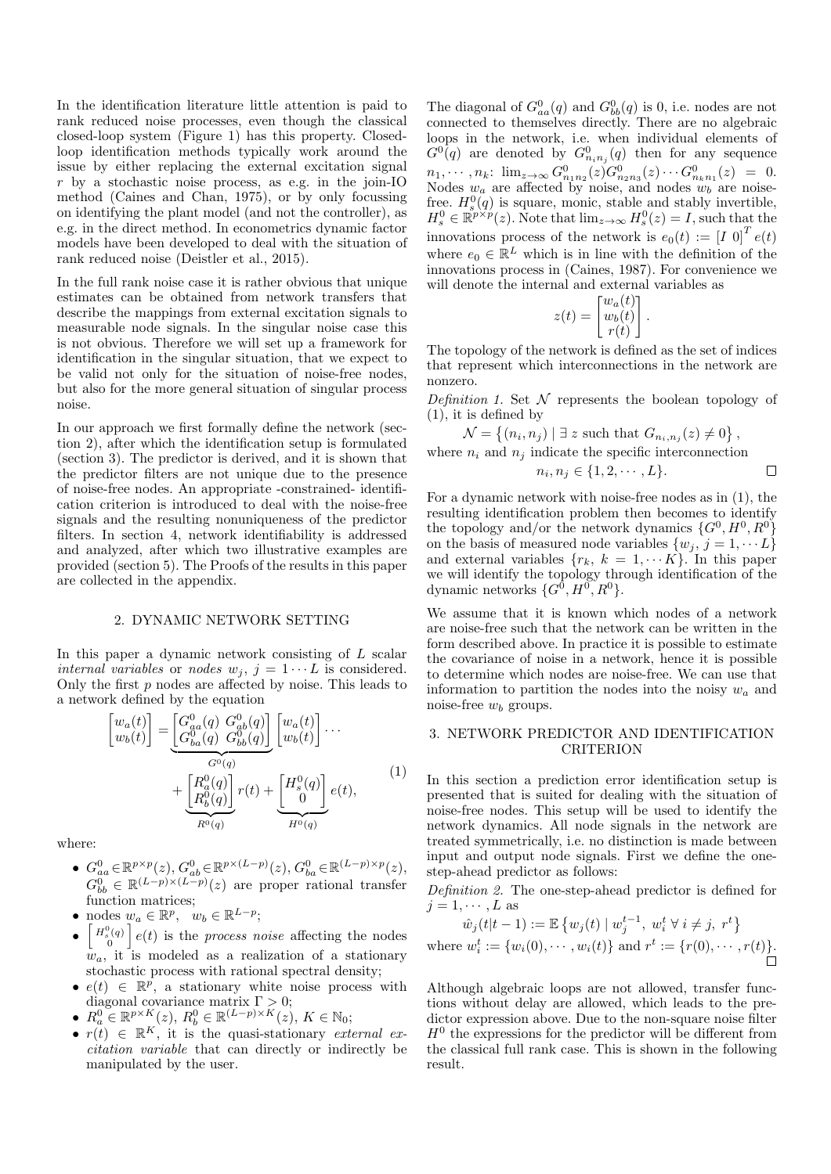In the identification literature little attention is paid to rank reduced noise processes, even though the classical closed-loop system (Figure 1) has this property. Closedloop identification methods typically work around the issue by either replacing the external excitation signal r by a stochastic noise process, as e.g. in the join-IO method (Caines and Chan, 1975), or by only focussing on identifying the plant model (and not the controller), as e.g. in the direct method. In econometrics dynamic factor models have been developed to deal with the situation of rank reduced noise (Deistler et al., 2015).

In the full rank noise case it is rather obvious that unique estimates can be obtained from network transfers that describe the mappings from external excitation signals to measurable node signals. In the singular noise case this is not obvious. Therefore we will set up a framework for identification in the singular situation, that we expect to be valid not only for the situation of noise-free nodes, but also for the more general situation of singular process noise.

In our approach we first formally define the network (section 2), after which the identification setup is formulated (section 3). The predictor is derived, and it is shown that the predictor filters are not unique due to the presence of noise-free nodes. An appropriate -constrained- identification criterion is introduced to deal with the noise-free signals and the resulting nonuniqueness of the predictor filters. In section 4, network identifiability is addressed and analyzed, after which two illustrative examples are provided (section 5). The Proofs of the results in this paper are collected in the appendix.

# 2. DYNAMIC NETWORK SETTING

In this paper a dynamic network consisting of L scalar internal variables or nodes  $w_j$ ,  $j = 1 \cdots L$  is considered. Only the first  $p$  nodes are affected by noise. This leads to a network defined by the equation

$$
\begin{bmatrix} w_a(t) \\ w_b(t) \end{bmatrix} = \underbrace{\begin{bmatrix} G_{aa}^0(q) & G_{ab}^0(q) \\ G_{ba}^0(q) & G_{bb}^0(q) \end{bmatrix}}_{G^0(q)} \underbrace{\begin{bmatrix} w_a(t) \\ w_b(t) \end{bmatrix}}_{H^0(q)} \cdots + \underbrace{\begin{bmatrix} R_a^0(q) \\ R_b^0(q) \end{bmatrix}}_{H^0(q)} r(t) + \underbrace{\begin{bmatrix} H_s^0(q) \\ 0 \end{bmatrix}}_{H^0(q)} e(t),
$$
\n(1)

where:

- $G_{aa}^0 \in \mathbb{R}^{p \times p}(z)$ ,  $G_{ab}^0 \in \mathbb{R}^{p \times (L-p)}(z)$ ,  $G_{ba}^0 \in \mathbb{R}^{(L-p) \times p}(z)$ ,  $G_{bb}^{0} \in \mathbb{R}^{(L-p)\times (L-p)}(z)$  are proper rational transfer function matrices;
- nodes  $w_a \in \mathbb{R}^p$ ,  $w_b \in \mathbb{R}^{L-p}$ ;
- $\begin{bmatrix} H_s^0(q) \\ 0 \end{bmatrix} e(t)$  is the process noise affecting the nodes  $w_a$ , it is modeled as a realization of a stationary stochastic process with rational spectral density;
- $e(t) \in \mathbb{R}^p$ , a stationary white noise process with diagonal covariance matrix  $\Gamma > 0$ ;
- $R_a^0 \in \mathbb{R}^{p \times K}(z)$ ,  $R_b^0 \in \mathbb{R}^{(L-p) \times K}(z)$ ,  $K \in \mathbb{N}_0$ ;
- $r(t) \in \mathbb{R}^K$ , it is the quasi-stationary external excitation variable that can directly or indirectly be manipulated by the user.

The diagonal of  $G_{aa}^0(q)$  and  $G_{bb}^0(q)$  is 0, i.e. nodes are not connected to themselves directly. There are no algebraic loops in the network, i.e. when individual elements of  $G^0(q)$  are denoted by  $G^0_{n_i n_j}(q)$  then for any sequence  $n_1, \cdots, n_k: \ \lim_{z \to \infty} G_{n_1 n_2}^0(z) G_{n_2 n_3}^0(z) \cdots G_{n_k n_1}^0(z) = 0.$ Nodes  $w_a$  are affected by noise, and nodes  $w_b$  are noisefree.  $H_s^0(q)$  is square, monic, stable and stably invertible,  $H_s^0 \in \mathbb{R}^{p \times p}(z)$ . Note that  $\lim_{z \to \infty} H_s^0(z) = I$ , such that the innovations process of the network is  $e_0(t) := [I \ 0]^T e(t)$ where  $e_0 \in \mathbb{R}^L$  which is in line with the definition of the innovations process in (Caines, 1987). For convenience we will denote the internal and external variables as

$$
z(t) = \begin{bmatrix} w_a(t) \\ w_b(t) \\ r(t) \end{bmatrix}.
$$

The topology of the network is defined as the set of indices that represent which interconnections in the network are nonzero.

Definition 1. Set  $\mathcal N$  represents the boolean topology of (1), it is defined by

$$
\mathcal{N} = \{(n_i, n_j) \mid \exists z \text{ such that } G_{n_i, n_j}(z) \neq 0\},\
$$
  
where  $n_i$  and  $n_j$  indicate the specific interconnection

$$
n_i, n_j \in \{1, 2, \cdots, L\}.
$$

For a dynamic network with noise-free nodes as in (1), the resulting identification problem then becomes to identify the topology and/or the network dynamics  $\{G^0, H^0, R^0\}$ on the basis of measured node variables  $\{w_j, j = 1, \dots L\}$ and external variables  $\{r_k, k = 1, \cdots K\}$ . In this paper we will identify the topology through identification of the dynamic networks  $\{G^0, H^0, R^0\}.$ 

We assume that it is known which nodes of a network are noise-free such that the network can be written in the form described above. In practice it is possible to estimate the covariance of noise in a network, hence it is possible to determine which nodes are noise-free. We can use that information to partition the nodes into the noisy  $w_a$  and noise-free  $w_b$  groups.

# 3. NETWORK PREDICTOR AND IDENTIFICATION CRITERION

In this section a prediction error identification setup is presented that is suited for dealing with the situation of noise-free nodes. This setup will be used to identify the network dynamics. All node signals in the network are treated symmetrically, i.e. no distinction is made between input and output node signals. First we define the onestep-ahead predictor as follows:

Definition 2. The one-step-ahead predictor is defined for  $j = 1, \cdots, L$  as

$$
\hat{w}_j(t|t-1) := \mathbb{E}\left\{w_j(t) \mid w_j^{t-1}, w_i^t \,\forall \, i \neq j, r^t\right\}
$$
  
where  $w_i^t := \{w_i(0), \cdots, w_i(t)\}$  and  $r^t := \{r(0), \cdots, r(t)\}.$ 

Although algebraic loops are not allowed, transfer functions without delay are allowed, which leads to the predictor expression above. Due to the non-square noise filter  $H<sup>0</sup>$  the expressions for the predictor will be different from the classical full rank case. This is shown in the following result.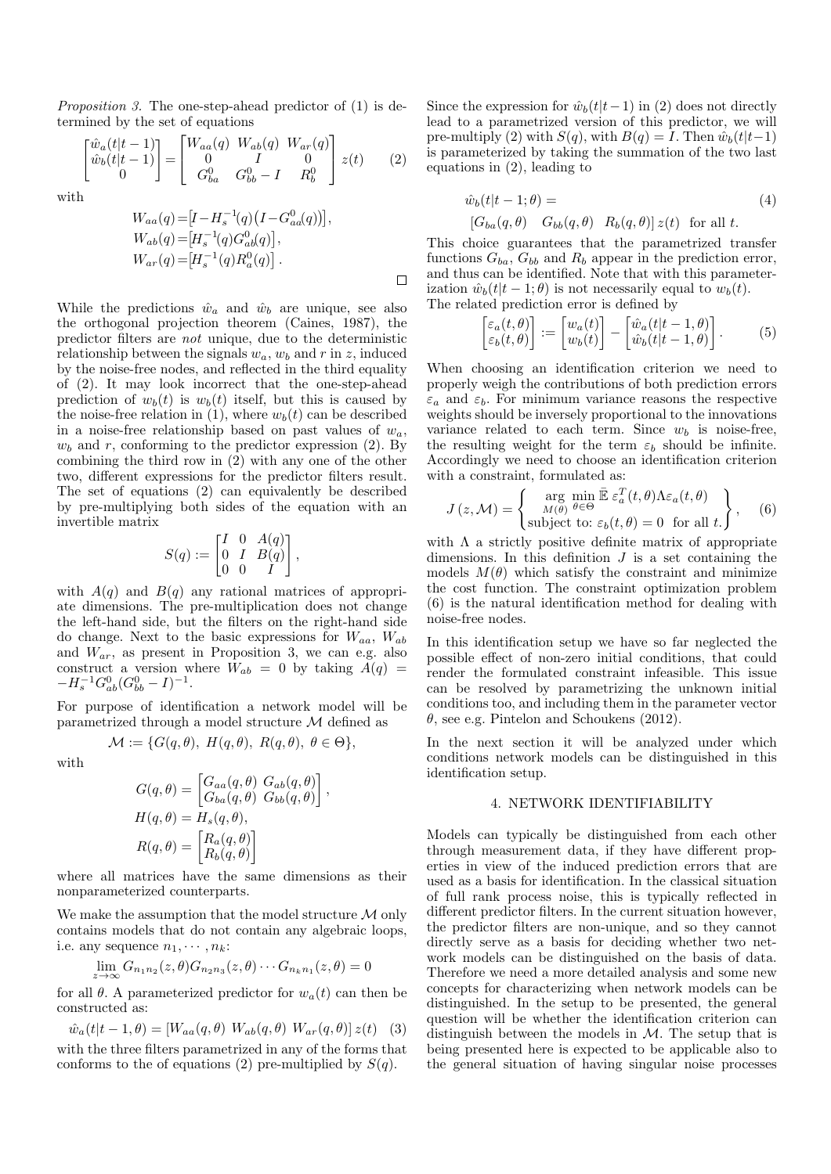Proposition 3. The one-step-ahead predictor of (1) is determined by the set of equations

$$
\begin{bmatrix} \hat{w}_a(t|t-1) \\ \hat{w}_b(t|t-1) \\ 0 \end{bmatrix} = \begin{bmatrix} W_{aa}(q) & W_{ab}(q) & W_{ar}(q) \\ 0 & I & 0 \\ G_{ba}^0 & G_{bb}^0 - I & R_b^0 \end{bmatrix} z(t) \qquad (2)
$$

with

$$
W_{aa}(q) = [I - H_s^{-1}(q) (I - G_{aa}^0(q))],
$$
  
\n
$$
W_{ab}(q) = [H_s^{-1}(q) G_{ab}^0(q)],
$$
  
\n
$$
W_{ar}(q) = [H_s^{-1}(q) R_a^0(q)].
$$

While the predictions  $\hat{w}_a$  and  $\hat{w}_b$  are unique, see also the orthogonal projection theorem (Caines, 1987), the predictor filters are not unique, due to the deterministic relationship between the signals  $w_a$ ,  $w_b$  and r in z, induced by the noise-free nodes, and reflected in the third equality of (2). It may look incorrect that the one-step-ahead prediction of  $w_b(t)$  is  $w_b(t)$  itself, but this is caused by the noise-free relation in (1), where  $w<sub>b</sub>(t)$  can be described in a noise-free relationship based on past values of  $w_a$ ,  $w<sub>b</sub>$  and r, conforming to the predictor expression (2). By combining the third row in (2) with any one of the other two, different expressions for the predictor filters result. The set of equations (2) can equivalently be described by pre-multiplying both sides of the equation with an invertible matrix

$$
S(q) := \begin{bmatrix} I & 0 & A(q) \\ 0 & I & B(q) \\ 0 & 0 & I \end{bmatrix},
$$

with  $A(q)$  and  $B(q)$  any rational matrices of appropriate dimensions. The pre-multiplication does not change the left-hand side, but the filters on the right-hand side do change. Next to the basic expressions for  $W_{aa}$ ,  $W_{ab}$ and  $W_{ar}$ , as present in Proposition 3, we can e.g. also construct a version where  $\dot{W}_{ab} = 0$  by taking  $\ddot{A}(q) =$  $-H_s^{-1}G_{ab}^0(G_{bb}^0-I)^{-1}.$ 

For purpose of identification a network model will be parametrized through a model structure M defined as

$$
\mathcal{M} := \{ G(q, \theta), H(q, \theta), R(q, \theta), \theta \in \Theta \},
$$

with

$$
G(q, \theta) = \begin{bmatrix} G_{aa}(q, \theta) & G_{ab}(q, \theta) \\ G_{ba}(q, \theta) & G_{bb}(q, \theta) \end{bmatrix},
$$

$$
H(q, \theta) = H_s(q, \theta),
$$

$$
R(q, \theta) = \begin{bmatrix} R_a(q, \theta) \\ R_b(q, \theta) \end{bmatrix}
$$

where all matrices have the same dimensions as their nonparameterized counterparts.

We make the assumption that the model structure  $\mathcal M$  only contains models that do not contain any algebraic loops, i.e. any sequence  $n_1, \cdots, n_k$ :

$$
\lim_{z \to \infty} G_{n_1 n_2}(z,\theta) G_{n_2 n_3}(z,\theta) \cdots G_{n_k n_1}(z,\theta) = 0
$$

for all  $\theta$ . A parameterized predictor for  $w_a(t)$  can then be constructed as:

$$
\hat{w}_a(t|t-1,\theta) = [W_{aa}(q,\theta) \ W_{ab}(q,\theta) \ W_{ar}(q,\theta)] z(t) \quad (3)
$$

with the three filters parametrized in any of the forms that conforms to the of equations (2) pre-multiplied by  $S(q)$ .

Since the expression for  $\hat{w}_b(t|t-1)$  in (2) does not directly lead to a parametrized version of this predictor, we will pre-multiply (2) with  $S(q)$ , with  $B(q) = I$ . Then  $\hat{w}_b(t|t-1)$ is parameterized by taking the summation of the two last equations in (2), leading to

$$
\hat{w}_b(t|t-1;\theta) =
$$
\n
$$
[G_{ba}(q,\theta) \quad G_{bb}(q,\theta) \quad R_b(q,\theta)] z(t) \text{ for all } t.
$$
\n(4)

This choice guarantees that the parametrized transfer functions  $G_{ba}$ ,  $G_{bb}$  and  $R_b$  appear in the prediction error, and thus can be identified. Note that with this parameterization  $\hat{w}_b(t|t-1;\theta)$  is not necessarily equal to  $w_b(t)$ . The related prediction error is defined by

$$
\begin{bmatrix} \varepsilon_a(t,\theta) \\ \varepsilon_b(t,\theta) \end{bmatrix} := \begin{bmatrix} w_a(t) \\ w_b(t) \end{bmatrix} - \begin{bmatrix} \hat{w}_a(t|t-1,\theta) \\ \hat{w}_b(t|t-1,\theta) \end{bmatrix} . \tag{5}
$$

When choosing an identification criterion we need to properly weigh the contributions of both prediction errors  $\varepsilon_a$  and  $\varepsilon_b$ . For minimum variance reasons the respective weights should be inversely proportional to the innovations variance related to each term. Since  $w_b$  is noise-free, the resulting weight for the term  $\varepsilon_b$  should be infinite. Accordingly we need to choose an identification criterion with a constraint, formulated as:

$$
J(z, \mathcal{M}) = \begin{Bmatrix} \arg \min_{M(\theta)} \bar{\mathbb{E}} \, \varepsilon_a^T(t, \theta) \Lambda \varepsilon_a(t, \theta) \\ \text{subject to: } \varepsilon_b(t, \theta) = 0 \quad \text{for all } t. \end{Bmatrix}, \quad (6)
$$

with  $\Lambda$  a strictly positive definite matrix of appropriate dimensions. In this definition  $J$  is a set containing the models  $M(\theta)$  which satisfy the constraint and minimize the cost function. The constraint optimization problem (6) is the natural identification method for dealing with noise-free nodes.

In this identification setup we have so far neglected the possible effect of non-zero initial conditions, that could render the formulated constraint infeasible. This issue can be resolved by parametrizing the unknown initial conditions too, and including them in the parameter vector  $\theta$ , see e.g. Pintelon and Schoukens (2012).

In the next section it will be analyzed under which conditions network models can be distinguished in this identification setup.

# 4. NETWORK IDENTIFIABILITY

Models can typically be distinguished from each other through measurement data, if they have different properties in view of the induced prediction errors that are used as a basis for identification. In the classical situation of full rank process noise, this is typically reflected in different predictor filters. In the current situation however, the predictor filters are non-unique, and so they cannot directly serve as a basis for deciding whether two network models can be distinguished on the basis of data. Therefore we need a more detailed analysis and some new concepts for characterizing when network models can be distinguished. In the setup to be presented, the general question will be whether the identification criterion can distinguish between the models in  $M$ . The setup that is being presented here is expected to be applicable also to the general situation of having singular noise processes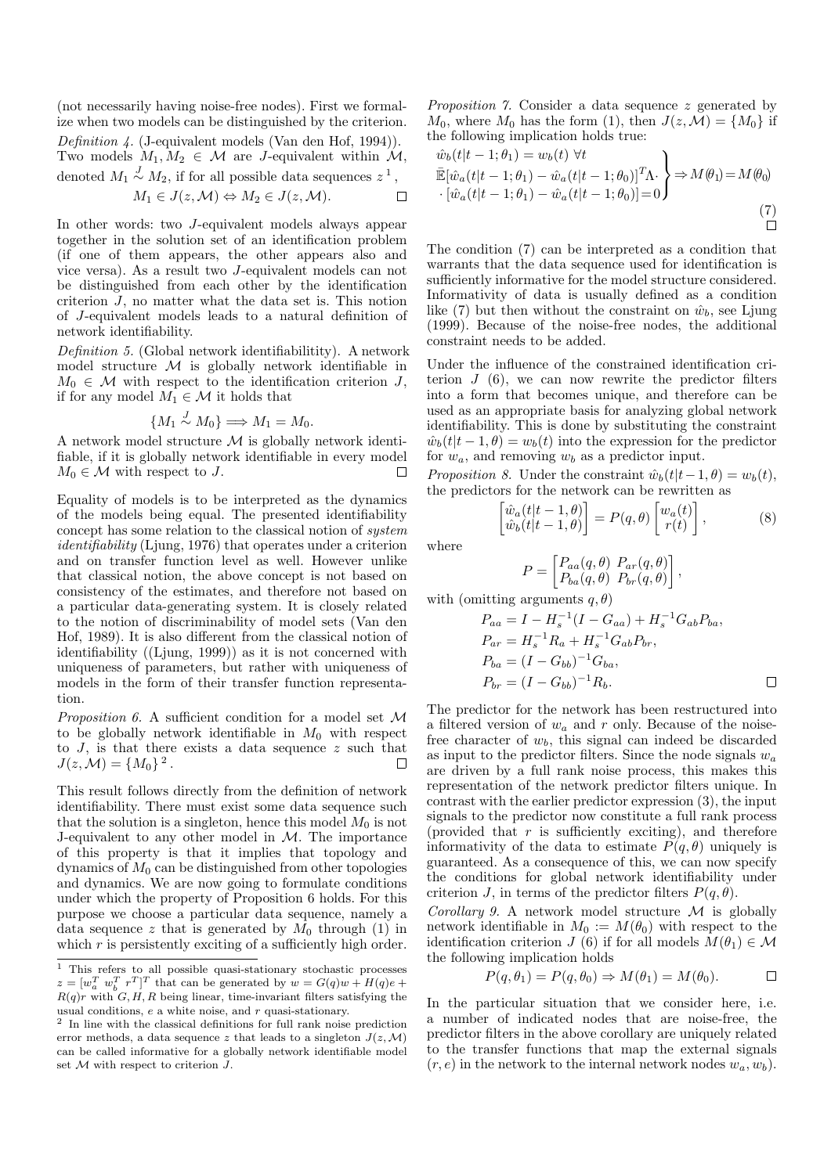(not necessarily having noise-free nodes). First we formalize when two models can be distinguished by the criterion. Definition  $\lambda$ . (J-equivalent models (Van den Hof, 1994)). Two models  $M_1, M_2 \in \mathcal{M}$  are *J*-equivalent within  $\mathcal{M}$ , denoted  $M_1 \stackrel{J}{\sim} M_2$ , if for all possible data sequences  $z^1$ ,

$$
M_1 \in J(z, \mathcal{M}) \Leftrightarrow M_2 \in J(z, \mathcal{M}).
$$

In other words: two J-equivalent models always appear together in the solution set of an identification problem (if one of them appears, the other appears also and vice versa). As a result two J-equivalent models can not be distinguished from each other by the identification criterion J, no matter what the data set is. This notion of J-equivalent models leads to a natural definition of network identifiability.

Definition 5. (Global network identifiabilitity). A network model structure  $M$  is globally network identifiable in  $M_0 \in \mathcal{M}$  with respect to the identification criterion J, if for any model  $M_1 \in \mathcal{M}$  it holds that

$$
\{M_1 \stackrel{J}{\sim} M_0\} \Longrightarrow M_1 = M_0.
$$

A network model structure  $\mathcal M$  is globally network identifiable, if it is globally network identifiable in every model  $M_0 \in \mathcal{M}$  with respect to J.  $\Box$ 

Equality of models is to be interpreted as the dynamics of the models being equal. The presented identifiability concept has some relation to the classical notion of system identifiability (Ljung, 1976) that operates under a criterion and on transfer function level as well. However unlike that classical notion, the above concept is not based on consistency of the estimates, and therefore not based on a particular data-generating system. It is closely related to the notion of discriminability of model sets (Van den Hof, 1989). It is also different from the classical notion of identifiability ((Ljung, 1999)) as it is not concerned with uniqueness of parameters, but rather with uniqueness of models in the form of their transfer function representation.

Proposition 6. A sufficient condition for a model set M to be globally network identifiable in  $M_0$  with respect to  $J$ , is that there exists a data sequence  $z$  such that  $J(z, \mathcal{M}) = \{M_0\}^2$ .  $\Box$ 

This result follows directly from the definition of network identifiability. There must exist some data sequence such that the solution is a singleton, hence this model  $M_0$  is not J-equivalent to any other model in M. The importance of this property is that it implies that topology and dynamics of  $M_0$  can be distinguished from other topologies and dynamics. We are now going to formulate conditions under which the property of Proposition 6 holds. For this purpose we choose a particular data sequence, namely a data sequence z that is generated by  $M_0$  through (1) in which  $r$  is persistently exciting of a sufficiently high order.

Proposition 7. Consider a data sequence z generated by  $M_0$ , where  $M_0$  has the form (1), then  $J(z, \mathcal{M}) = \{M_0\}$  if the following implication holds true:

$$
\begin{aligned}\n\hat{w}_b(t|t-1;\theta_1) &= w_b(t) \,\,\forall t \\
\overline{\mathbb{E}}[\hat{w}_a(t|t-1;\theta_1) - \hat{w}_a(t|t-1;\theta_0)]^T \Lambda \cdot \left] \Rightarrow M(\theta_1) = M(\theta_0) \\
\cdot [\hat{w}_a(t|t-1;\theta_1) - \hat{w}_a(t|t-1;\theta_0)] &= 0\n\end{aligned}\n\right\} \Rightarrow M(\theta_1) = M(\theta_0)
$$
\n
$$
\tag{7}
$$

The condition (7) can be interpreted as a condition that warrants that the data sequence used for identification is sufficiently informative for the model structure considered. Informativity of data is usually defined as a condition like (7) but then without the constraint on  $\hat{w}_b$ , see Ljung (1999). Because of the noise-free nodes, the additional constraint needs to be added.

Under the influence of the constrained identification criterion  $J(6)$ , we can now rewrite the predictor filters into a form that becomes unique, and therefore can be used as an appropriate basis for analyzing global network identifiability. This is done by substituting the constraint  $\hat{w}_b(t|t-1,\theta) = w_b(t)$  into the expression for the predictor for  $w_a$ , and removing  $w_b$  as a predictor input.

*Proposition 8.* Under the constraint  $\hat{w}_b(t|t-1, \theta) = w_b(t)$ , the predictors for the network can be rewritten as

$$
\begin{bmatrix}\n\hat{w}_a(t|t-1,\theta) \\
\hat{w}_b(t|t-1,\theta)\n\end{bmatrix} = P(q,\theta) \begin{bmatrix}\nw_a(t) \\
r(t)\n\end{bmatrix},
$$
\n(8)

where

$$
P = \begin{bmatrix} P_{aa}(q, \theta) & P_{ar}(q, \theta) \\ P_{ba}(q, \theta) & P_{br}(q, \theta) \end{bmatrix},
$$

with (omitting arguments  $q, \theta$ )

$$
P_{aa} = I - H_s^{-1} (I - G_{aa}) + H_s^{-1} G_{ab} P_{ba},
$$
  
\n
$$
P_{ar} = H_s^{-1} R_a + H_s^{-1} G_{ab} P_{br},
$$
  
\n
$$
P_{ba} = (I - G_{bb})^{-1} G_{ba},
$$
  
\n
$$
P_{br} = (I - G_{bb})^{-1} R_b.
$$

The predictor for the network has been restructured into a filtered version of  $w_a$  and r only. Because of the noisefree character of  $w<sub>b</sub>$ , this signal can indeed be discarded as input to the predictor filters. Since the node signals  $w_a$ are driven by a full rank noise process, this makes this representation of the network predictor filters unique. In contrast with the earlier predictor expression (3), the input signals to the predictor now constitute a full rank process (provided that  $r$  is sufficiently exciting), and therefore informativity of the data to estimate  $P(q, \theta)$  uniquely is guaranteed. As a consequence of this, we can now specify the conditions for global network identifiability under criterion J, in terms of the predictor filters  $P(q, \theta)$ .

Corollary 9. A network model structure  $\mathcal M$  is globally network identifiable in  $M_0 := M(\theta_0)$  with respect to the identification criterion J (6) if for all models  $M(\theta_1) \in \mathcal{M}$ the following implication holds

$$
P(q, \theta_1) = P(q, \theta_0) \Rightarrow M(\theta_1) = M(\theta_0). \Box
$$

In the particular situation that we consider here, i.e. a number of indicated nodes that are noise-free, the predictor filters in the above corollary are uniquely related to the transfer functions that map the external signals  $(r, e)$  in the network to the internal network nodes  $w_a, w_b$ ).

<sup>1</sup> This refers to all possible quasi-stationary stochastic processes  $z = [w_a^T w_b^T r^T]^T$  that can be generated by  $w = G(q)w + H(q)e +$  $R(q)r$  with  $G, H, R$  being linear, time-invariant filters satisfying the usual conditions,  $e$  a white noise, and  $r$  quasi-stationary.

<sup>2</sup> In line with the classical definitions for full rank noise prediction error methods, a data sequence z that leads to a singleton  $J(z, \mathcal{M})$ can be called informative for a globally network identifiable model set  $\mathcal M$  with respect to criterion  $J.$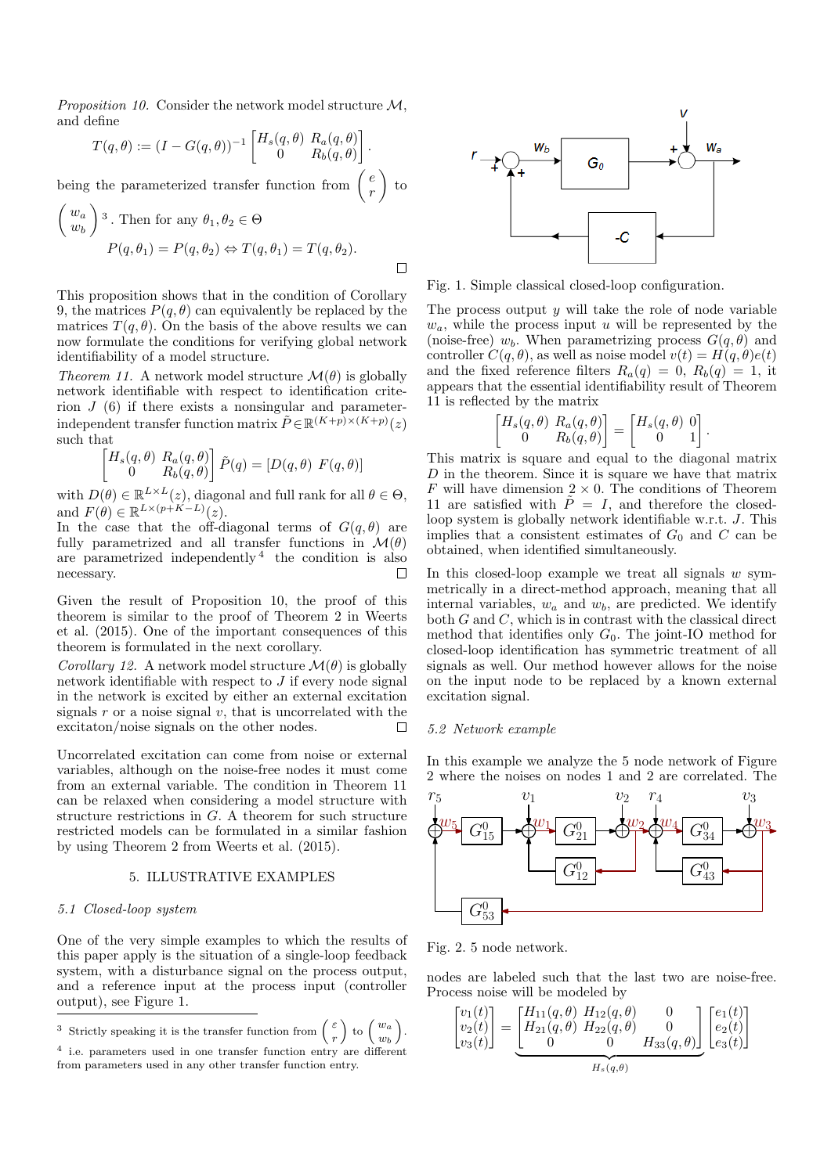*Proposition 10.* Consider the network model structure  $M$ . and define

$$
T(q,\theta) := (I - G(q,\theta))^{-1} \begin{bmatrix} H_s(q,\theta) & R_a(q,\theta) \\ 0 & R_b(q,\theta) \end{bmatrix}.
$$

being the parameterized transfer function from  $\begin{pmatrix} e \\ e \end{pmatrix}$ r  $\Big)$  to

$$
\begin{pmatrix} w_a \\ w_b \end{pmatrix}^3
$$
. Then for any  $\theta_1, \theta_2 \in \Theta$   

$$
P(q, \theta_1) = P(q, \theta_2) \Leftrightarrow T(q, \theta_1) = T(q, \theta_2).
$$

This proposition shows that in the condition of Corollary 9, the matrices  $P(q, \theta)$  can equivalently be replaced by the matrices  $T(q, \theta)$ . On the basis of the above results we can now formulate the conditions for verifying global network identifiability of a model structure.

Theorem 11. A network model structure  $\mathcal{M}(\theta)$  is globally network identifiable with respect to identification criterion  $J(6)$  if there exists a nonsingular and parameterindependent transfer function matrix  $\tilde{P} \in \mathbb{R}^{(K+p)\times (K+p)}(z)$ such that

$$
\begin{bmatrix} H_s(q, \theta) \ R_a(q, \theta) \\ 0 \qquad R_b(q, \theta) \end{bmatrix} \tilde{P}(q) = [D(q, \theta) \ F(q, \theta)]
$$

with  $D(\theta) \in \mathbb{R}^{L \times L}(z)$ , diagonal and full rank for all  $\theta \in \Theta$ , and  $F(\theta) \in \mathbb{R}^{L \times (p+K-L)}(z)$ .

In the case that the off-diagonal terms of  $G(q, \theta)$  are fully parametrized and all transfer functions in  $\mathcal{M}(\theta)$ are parametrized independently <sup>4</sup> the condition is also necessary.  $\Box$ 

Given the result of Proposition 10, the proof of this theorem is similar to the proof of Theorem 2 in Weerts et al. (2015). One of the important consequences of this theorem is formulated in the next corollary.

*Corollary 12.* A network model structure  $\mathcal{M}(\theta)$  is globally network identifiable with respect to  $J$  if every node signal in the network is excited by either an external excitation signals  $r$  or a noise signal  $v$ , that is uncorrelated with the excitaton/noise signals on the other nodes.  $\Box$ 

Uncorrelated excitation can come from noise or external variables, although on the noise-free nodes it must come from an external variable. The condition in Theorem 11 can be relaxed when considering a model structure with structure restrictions in G. A theorem for such structure restricted models can be formulated in a similar fashion by using Theorem 2 from Weerts et al. (2015).

# 5. ILLUSTRATIVE EXAMPLES

## 5.1 Closed-loop system

One of the very simple examples to which the results of this paper apply is the situation of a single-loop feedback system, with a disturbance signal on the process output, and a reference input at the process input (controller output), see Figure 1.

<sup>3</sup> Strictly speaking it is the transfer function from  $\begin{pmatrix} \varepsilon \\ 0 \end{pmatrix}$  $\left(\begin{array}{c} \varepsilon \ r \end{array}\right)$  to  $\left(\begin{array}{c} w_a \ w_b \end{array}\right)$  $w_b$ .

4 i.e. parameters used in one transfer function entry are different





Fig. 1. Simple classical closed-loop configuration.

The process output  $y$  will take the role of node variable  $w_a$ , while the process input u will be represented by the (noise-free)  $w_b$ . When parametrizing process  $G(q, \theta)$  and controller  $C(q, \theta)$ , as well as noise model  $v(t) = H(q, \theta)e(t)$ and the fixed reference filters  $R_a(q) = 0$ ,  $R_b(q) = 1$ , it appears that the essential identifiability result of Theorem 11 is reflected by the matrix

$$
\begin{bmatrix} H_s(q, \theta) & R_a(q, \theta) \\ 0 & R_b(q, \theta) \end{bmatrix} = \begin{bmatrix} H_s(q, \theta) & 0 \\ 0 & 1 \end{bmatrix}
$$

.

This matrix is square and equal to the diagonal matrix  $D$  in the theorem. Since it is square we have that matrix F will have dimension  $2 \times 0$ . The conditions of Theorem 11 are satisfied with  $\tilde{P} = I$ , and therefore the closedloop system is globally network identifiable w.r.t. J. This implies that a consistent estimates of  $G_0$  and C can be obtained, when identified simultaneously.

In this closed-loop example we treat all signals  $w$  symmetrically in a direct-method approach, meaning that all internal variables,  $w_a$  and  $w_b$ , are predicted. We identify both  $G$  and  $C$ , which is in contrast with the classical direct method that identifies only  $G_0$ . The joint-IO method for closed-loop identification has symmetric treatment of all signals as well. Our method however allows for the noise on the input node to be replaced by a known external excitation signal.

# 5.2 Network example

In this example we analyze the 5 node network of Figure 2 where the noises on nodes 1 and 2 are correlated. The



Fig. 2. 5 node network.

nodes are labeled such that the last two are noise-free. Process noise will be modeled by

$$
\begin{bmatrix} v_1(t) \\ v_2(t) \\ v_3(t) \end{bmatrix} = \underbrace{\begin{bmatrix} H_{11}(q,\theta) & H_{12}(q,\theta) & 0 \\ H_{21}(q,\theta) & H_{22}(q,\theta) & 0 \\ 0 & 0 & H_{33}(q,\theta) \end{bmatrix}}_{H_s(q,\theta)} \underbrace{\begin{bmatrix} e_1(t) \\ e_2(t) \\ e_3(t) \end{bmatrix}}_{H_s(q,\theta)}
$$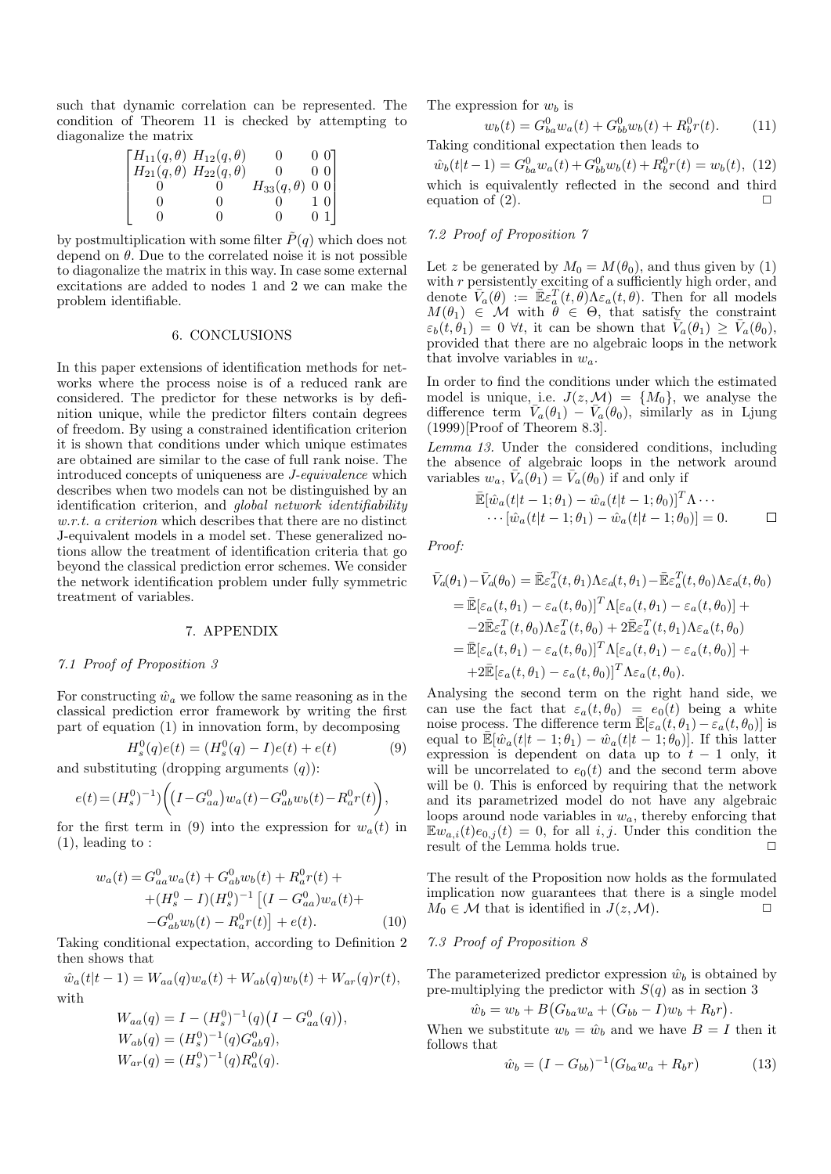such that dynamic correlation can be represented. The condition of Theorem 11 is checked by attempting to diagonalize the matrix

$$
\begin{bmatrix}\nH_{11}(q, \theta) & H_{12}(q, \theta) & 0 & 0 & 0 \\
H_{21}(q, \theta) & H_{22}(q, \theta) & 0 & 0 & 0 \\
0 & 0 & H_{33}(q, \theta) & 0 & 0 \\
0 & 0 & 0 & 1 & 0 \\
0 & 0 & 0 & 0 & 1\n\end{bmatrix}
$$

by postmultiplication with some filter  $\tilde{P}(q)$  which does not depend on  $\theta$ . Due to the correlated noise it is not possible to diagonalize the matrix in this way. In case some external excitations are added to nodes 1 and 2 we can make the problem identifiable.

#### 6. CONCLUSIONS

In this paper extensions of identification methods for networks where the process noise is of a reduced rank are considered. The predictor for these networks is by definition unique, while the predictor filters contain degrees of freedom. By using a constrained identification criterion it is shown that conditions under which unique estimates are obtained are similar to the case of full rank noise. The introduced concepts of uniqueness are J-equivalence which describes when two models can not be distinguished by an identification criterion, and global network identifiability w.r.t. a criterion which describes that there are no distinct J-equivalent models in a model set. These generalized notions allow the treatment of identification criteria that go beyond the classical prediction error schemes. We consider the network identification problem under fully symmetric treatment of variables.

## 7. APPENDIX

# 7.1 Proof of Proposition 3

For constructing  $\hat{w}_a$  we follow the same reasoning as in the classical prediction error framework by writing the first part of equation (1) in innovation form, by decomposing

$$
H_s^0(q)e(t) = (H_s^0(q) - I)e(t) + e(t)
$$
\n(9)

and substituting (dropping arguments  $(q)$ ):

$$
e(t) = (H_s^0)^{-1} \Big) \bigg( \big(I - G_{aa}^0\big) w_a(t) - G_{ab}^0 w_b(t) - R_a^0 r(t) \bigg),
$$

for the first term in (9) into the expression for  $w_a(t)$  in (1), leading to :

$$
w_a(t) = G_{aa}^0 w_a(t) + G_{ab}^0 w_b(t) + R_a^0 r(t) +
$$
  
+ 
$$
(H_s^0 - I)(H_s^0)^{-1} [(I - G_{aa}^0) w_a(t) +
$$
  
- 
$$
G_{ab}^0 w_b(t) - R_a^0 r(t)] + e(t).
$$
 (10)

Taking conditional expectation, according to Definition 2 then shows that

$$
\hat{w}_a(t|t-1) = W_{aa}(q)w_a(t) + W_{ab}(q)w_b(t) + W_{ar}(q)r(t),
$$
  
with

$$
W_{aa}(q) = I - (H_s^0)^{-1}(q)(I - G_{aa}^0(q)),
$$
  
\n
$$
W_{ab}(q) = (H_s^0)^{-1}(q)G_{ab}^0q),
$$
  
\n
$$
W_{ar}(q) = (H_s^0)^{-1}(q)R_a^0(q).
$$

The expression for  $w_b$  is

$$
w_b(t) = G_{ba}^0 w_a(t) + G_{bb}^0 w_b(t) + R_b^0 r(t).
$$
 (11)

Taking conditional expectation then leads to

 $\hat{w}_b(t|t-1) = G_{ba}^0 w_a(t) + G_{bb}^0 w_b(t) + R_b^0 r(t) = w_b(t),$  (12) which is equivalently reflected in the second and third equation of  $(2)$ .

# 7.2 Proof of Proposition 7

Let z be generated by  $M_0 = M(\theta_0)$ , and thus given by (1) with r persistently exciting of a sufficiently high order, and denote  $\overline{V}_a(\theta) := \mathbb{E} \varepsilon_a^T(t, \theta) \Lambda \varepsilon_a(t, \theta)$ . Then for all models  $M(\theta_1) \in \mathcal{M}$  with  $\theta \in \Theta$ , that satisfy the constraint  $\varepsilon_b(t, \theta_1) = 0$   $\forall t$ , it can be shown that  $\tilde{V}_a(\theta_1) \geq \bar{V}_a(\theta_0)$ , provided that there are no algebraic loops in the network that involve variables in  $w_a$ .

In order to find the conditions under which the estimated model is unique, i.e.  $J(z, M) = \{M_0\}$ , we analyse the difference term  $\overline{V}_a(\theta_1) - \overline{V}_a(\theta_0)$ , similarly as in Ljung  $(1999)$ [Proof of Theorem 8.3].

Lemma 13. Under the considered conditions, including the absence of algebraic loops in the network around variables  $w_a$ ,  $\bar{V}_a(\theta_1) = \bar{V}_a(\theta_0)$  if and only if

$$
\mathbb{E}[\hat{w}_a(t|t-1;\theta_1) - \hat{w}_a(t|t-1;\theta_0)]^T \Lambda \cdots \cdots [\hat{w}_a(t|t-1;\theta_1) - \hat{w}_a(t|t-1;\theta_0)] = 0.
$$

Proof:

$$
\bar{V}_a(\theta_1) - \bar{V}_a(\theta_0) = \bar{\mathbb{E}} \varepsilon_a^T(t, \theta_1) \Lambda \varepsilon_a(t, \theta_1) - \bar{\mathbb{E}} \varepsilon_a^T(t, \theta_0) \Lambda \varepsilon_a(t, \theta_0)
$$
\n
$$
= \bar{\mathbb{E}} [\varepsilon_a(t, \theta_1) - \varepsilon_a(t, \theta_0)]^T \Lambda [\varepsilon_a(t, \theta_1) - \varepsilon_a(t, \theta_0)] +
$$
\n
$$
-2 \bar{\mathbb{E}} \varepsilon_a^T(t, \theta_0) \Lambda \varepsilon_a^T(t, \theta_0) + 2 \bar{\mathbb{E}} \varepsilon_a^T(t, \theta_1) \Lambda \varepsilon_a(t, \theta_0)
$$
\n
$$
= \bar{\mathbb{E}} [\varepsilon_a(t, \theta_1) - \varepsilon_a(t, \theta_0)]^T \Lambda [\varepsilon_a(t, \theta_1) - \varepsilon_a(t, \theta_0)] +
$$
\n
$$
+ 2 \bar{\mathbb{E}} [\varepsilon_a(t, \theta_1) - \varepsilon_a(t, \theta_0)]^T \Lambda \varepsilon_a(t, \theta_0).
$$

Analysing the second term on the right hand side, we can use the fact that  $\varepsilon_a(t, \theta_0) = e_0(t)$  being a white noise process. The difference term  $\mathbb{E}[\varepsilon_a(t, \theta_1) - \varepsilon_a(t, \theta_0)]$  is equal to  $\mathbb{E}[\hat{w}_a(t|t-1;\theta_1)-\hat{w}_a(t|t-1;\theta_0)].$  If this latter expression is dependent on data up to  $t - 1$  only, it will be uncorrelated to  $e_0(t)$  and the second term above will be 0. This is enforced by requiring that the network and its parametrized model do not have any algebraic loops around node variables in  $w_a$ , thereby enforcing that  $\mathbb{E} w_{a,i}(t)e_{0,i}(t) = 0$ , for all *i*, *j*. Under this condition the result of the Lemma holds true.  $\Box$ 

The result of the Proposition now holds as the formulated implication now guarantees that there is a single model  $M_0 \in \mathcal{M}$  that is identified in  $J(z, \mathcal{M})$ .

#### 7.3 Proof of Proposition 8

The parameterized predictor expression  $\hat{w}_b$  is obtained by pre-multiplying the predictor with  $S(q)$  as in section 3

$$
\hat{w}_b = w_b + B(G_{ba}w_a + (G_{bb} - I)w_b + R_b r).
$$

When we substitute  $w_b = \hat{w}_b$  and we have  $B = I$  then it follows that

$$
\hat{w}_b = (I - G_{bb})^{-1} (G_{ba} w_a + R_b r) \tag{13}
$$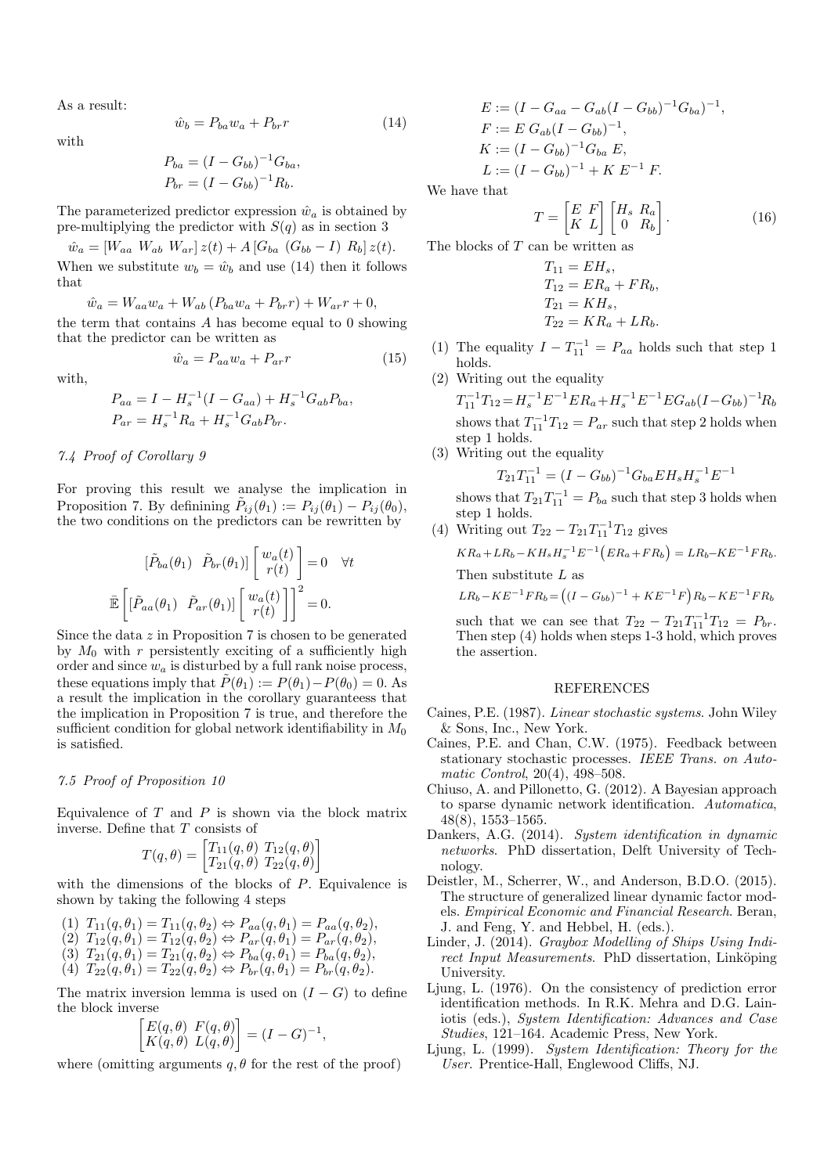As a result:

$$
\hat{w}_b = P_{ba} w_a + P_{br} r \tag{14}
$$

with

$$
P_{ba} = (I - G_{bb})^{-1} G_{ba},
$$
  

$$
P_{br} = (I - G_{bb})^{-1} R_b.
$$

The parameterized predictor expression  $\hat{w}_a$  is obtained by pre-multiplying the predictor with  $S(q)$  as in section 3

$$
\hat{w}_a = [W_{aa} \ W_{ab} \ W_{ar}] z(t) + A [G_{ba} \ (G_{bb} - I) \ R_b] z(t).
$$

When we substitute  $w_b = \hat{w}_b$  and use (14) then it follows that

$$
\hat{w}_a = W_{aa} w_a + W_{ab} (P_{ba} w_a + P_{br} r) + W_{ar} r + 0,
$$

the term that contains A has become equal to 0 showing that the predictor can be written as

$$
\hat{w}_a = P_{aa} w_a + P_{ar} r \tag{15}
$$

with,

$$
P_{aa} = I - H_s^{-1} (I - G_{aa}) + H_s^{-1} G_{ab} P_{ba},
$$
  
\n
$$
P_{ar} = H_s^{-1} R_a + H_s^{-1} G_{ab} P_{br}.
$$

# 7.4 Proof of Corollary 9

For proving this result we analyse the implication in Proposition 7. By definining  $\tilde{P}_{ij}(\theta_1) := P_{ij}(\theta_1) - P_{ij}(\theta_0)$ , the two conditions on the predictors can be rewritten by

$$
\begin{aligned}\n\left[\tilde{P}_{ba}(\theta_1) \quad \tilde{P}_{br}(\theta_1)\right] \begin{bmatrix} w_a(t) \\ r(t) \end{bmatrix} &= 0 \quad \forall t \\
\bar{\mathbb{E}} \left[ \begin{bmatrix} \tilde{P}_{aa}(\theta_1) \quad \tilde{P}_{ar}(\theta_1) \end{bmatrix} \begin{bmatrix} w_a(t) \\ r(t) \end{bmatrix} \right]^2 &= 0.\n\end{aligned}
$$

Since the data z in Proposition 7 is chosen to be generated by  $M_0$  with r persistently exciting of a sufficiently high order and since  $w_a$  is disturbed by a full rank noise process, these equations imply that  $\tilde{P}(\theta_1) := P(\theta_1) - P(\theta_0) = 0$ . As a result the implication in the corollary guaranteess that the implication in Proposition 7 is true, and therefore the sufficient condition for global network identifiability in  $M_0$ is satisfied.

# 7.5 Proof of Proposition 10

Equivalence of  $T$  and  $P$  is shown via the block matrix inverse. Define that T consists of

$$
T(q,\theta) = \begin{bmatrix} T_{11}(q,\theta) & T_{12}(q,\theta) \\ T_{21}(q,\theta) & T_{22}(q,\theta) \end{bmatrix}
$$

with the dimensions of the blocks of P. Equivalence is shown by taking the following 4 steps

- (1)  $T_{11}(q, \theta_1) = T_{11}(q, \theta_2) \Leftrightarrow P_{aa}(q, \theta_1) = P_{aa}(q, \theta_2),$ (2)  $T_{12}(q, \theta_1) = T_{12}(q, \theta_2) \Leftrightarrow P_{ar}(q, \theta_1) = P_{ar}(q, \theta_2),$ (3)  $T_{21}(q, \theta_1) = T_{21}(q, \theta_2) \Leftrightarrow P_{ba}(q, \theta_1) = P_{ba}(q, \theta_2),$
- (4)  $T_{22}(q, \theta_1) = T_{22}(q, \theta_2) \Leftrightarrow P_{br}(q, \theta_1) = P_{br}(q, \theta_2).$

The matrix inversion lemma is used on  $(I - G)$  to define the block inverse

$$
\begin{bmatrix} E(q, \theta) & F(q, \theta) \\ K(q, \theta) & L(q, \theta) \end{bmatrix} = (I - G)^{-1},
$$

where (omitting arguments  $q, \theta$  for the rest of the proof)

$$
E := (I - G_{aa} - G_{ab}(I - G_{bb})^{-1}G_{ba})^{-1},
$$
  
\n
$$
F := E G_{ab}(I - G_{bb})^{-1},
$$
  
\n
$$
K := (I - G_{bb})^{-1}G_{ba} E,
$$
  
\n
$$
L := (I - G_{bb})^{-1} + K E^{-1} F.
$$

We have that

$$
T = \begin{bmatrix} E & F \\ K & L \end{bmatrix} \begin{bmatrix} H_s & R_a \\ 0 & R_b \end{bmatrix} . \tag{16}
$$

The blocks of T can be written as

$$
T_{11} = EH_s,
$$
  
\n
$$
T_{12} = ER_a + FR_b,
$$
  
\n
$$
T_{21} = KH_s,
$$
  
\n
$$
T_{22} = KR_a + LR_b.
$$

- (1) The equality  $I T_{11}^{-1} = P_{aa}$  holds such that step 1 holds.
- (2) Writing out the equality

 $T_{11}^{-1}T_{12} = H_s^{-1}E^{-1}ER_a + H_s^{-1}E^{-1}EG_{ab}(I-G_{bb})^{-1}R_b$ shows that  $T_{11}^{-1}T_{12} = P_{ar}$  such that step 2 holds when step 1 holds.

(3) Writing out the equality

 $T_{21}T_{11}^{-1} = (I - G_{bb})^{-1}G_{ba}EH_sH_s^{-1}E^{-1}$ shows that  $T_{21}T_{11}^{-1} = P_{ba}$  such that step 3 holds when step 1 holds.

(4) Writing out  $T_{22} - T_{21}T_{11}^{-1}T_{12}$  gives  $KR_a + LR_b - KH_s H_s^{-1} E^{-1} (ER_a + FR_b) = LR_b - KE^{-1} FR_b.$ Then substitute  $L$  as

 $LR_b - KE^{-1}FR_b = ((I - G_{bb})^{-1} + KE^{-1}F)R_b - KE^{-1}FR_b$ 

such that we can see that  $T_{22} - T_{21}T_{11}^{-1}T_{12} = P_{br}$ . Then step (4) holds when steps 1-3 hold, which proves the assertion.

# REFERENCES

- Caines, P.E. (1987). Linear stochastic systems. John Wiley & Sons, Inc., New York.
- Caines, P.E. and Chan, C.W. (1975). Feedback between stationary stochastic processes. IEEE Trans. on Automatic Control, 20(4), 498–508.
- Chiuso, A. and Pillonetto, G. (2012). A Bayesian approach to sparse dynamic network identification. Automatica, 48(8), 1553–1565.
- Dankers, A.G. (2014). System identification in dynamic networks. PhD dissertation, Delft University of Technology.
- Deistler, M., Scherrer, W., and Anderson, B.D.O. (2015). The structure of generalized linear dynamic factor models. Empirical Economic and Financial Research. Beran, J. and Feng, Y. and Hebbel, H. (eds.).
- Linder, J. (2014). Graybox Modelling of Ships Using Indirect Input Measurements. PhD dissertation, Linköping University.
- Ljung, L. (1976). On the consistency of prediction error identification methods. In R.K. Mehra and D.G. Lainiotis (eds.), System Identification: Advances and Case Studies, 121–164. Academic Press, New York.
- Ljung, L. (1999). System Identification: Theory for the User. Prentice-Hall, Englewood Cliffs, NJ.